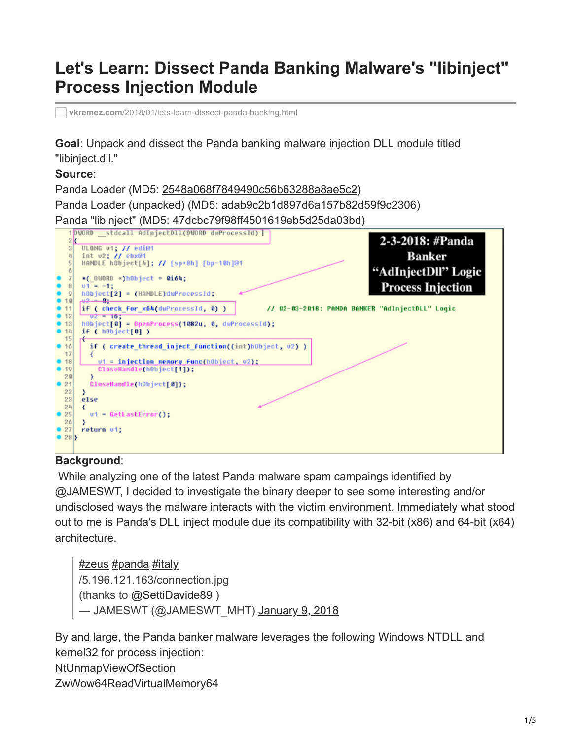# **Let's Learn: Dissect Panda Banking Malware's "libinject" Process Injection Module**

**vkremez.com**[/2018/01/lets-learn-dissect-panda-banking.html](http://www.vkremez.com/2018/01/lets-learn-dissect-panda-banking.html)

**Goal**: Unpack and dissect the Panda banking malware injection DLL module titled "libinject.dll."

#### **Source**:

Panda Loader (MD5: [2548a068f7849490c56b63288a8ae5c2](https://www.virustotal.com/#/file/8ad64a60db191a888042e6f7103cb78e9a20c7d6c0f1837fd05d76f15cfff39b/details))

Panda Loader (unpacked) (MD5: [adab9c2b1d897d6a157b82d59f9c2306\)](https://www.virustotal.com/#/file-analysis/YWRhYjljMmIxZDg5N2Q2YTE1N2I4MmQ1OWY5YzIzMDY6MTUxNTgwMDcyMw==)

Panda "libinject" (MD5: [47dcbc79f98ff4501619eb5d25da03bd\)](https://www.virustotal.com/#/file-analysis/NDdkY2JjNzlmOThmZjQ1MDE2MTllYjVkMjVkYTAzYmQ6MTUxNTgwMDgwOA==)



#### **Background**:

 While analyzing one of the latest Panda malware spam campaings identified by @JAMESWT, I decided to investigate the binary deeper to see some interesting and/or undisclosed ways the malware interacts with the victim environment. Immediately what stood out to me is Panda's DLL inject module due its compatibility with 32-bit (x86) and 64-bit (x64) architecture.

[#zeus](https://twitter.com/hashtag/zeus?src=hash&ref_src=twsrc%5Etfw) [#panda](https://twitter.com/hashtag/panda?src=hash&ref_src=twsrc%5Etfw) [#italy](https://twitter.com/hashtag/italy?src=hash&ref_src=twsrc%5Etfw) /5.196.121.163/connection.jpg (thanks to [@SettiDavide89](https://twitter.com/SettiDavide89?ref_src=twsrc%5Etfw) ) — JAMESWT (@JAMESWT\_MHT) [January 9, 2018](https://twitter.com/JAMESWT_MHT/status/950722111911419904?ref_src=twsrc%5Etfw)

By and large, the Panda banker malware leverages the following Windows NTDLL and kernel32 for process injection: NtUnmapViewOfSection ZwWow64ReadVirtualMemory64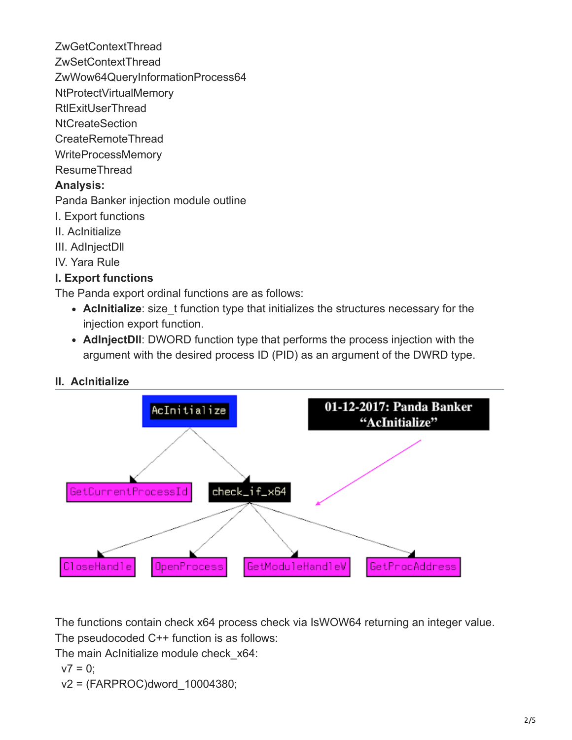ZwGetContextThread ZwSetContextThread ZwWow64QueryInformationProcess64 NtProtectVirtualMemory **RtlExitUserThread** NtCreateSection CreateRemoteThread WriteProcessMemory ResumeThread **Analysis:** Panda Banker injection module outline I. Export functions II. AcInitialize III. AdInjectDll IV. Yara Rule

#### **I. Export functions**

The Panda export ordinal functions are as follows:

- AcInitialize: size t function type that initializes the structures necessary for the injection export function.
- **AdInjectDll**: DWORD function type that performs the process injection with the argument with the desired process ID (PID) as an argument of the DWRD type.



The functions contain check x64 process check via IsWOW64 returning an integer value.

The pseudocoded C++ function is as follows:

The main Aclnitialize module check x64:

$$
v7=0;
$$

v2 = (FARPROC)dword\_10004380;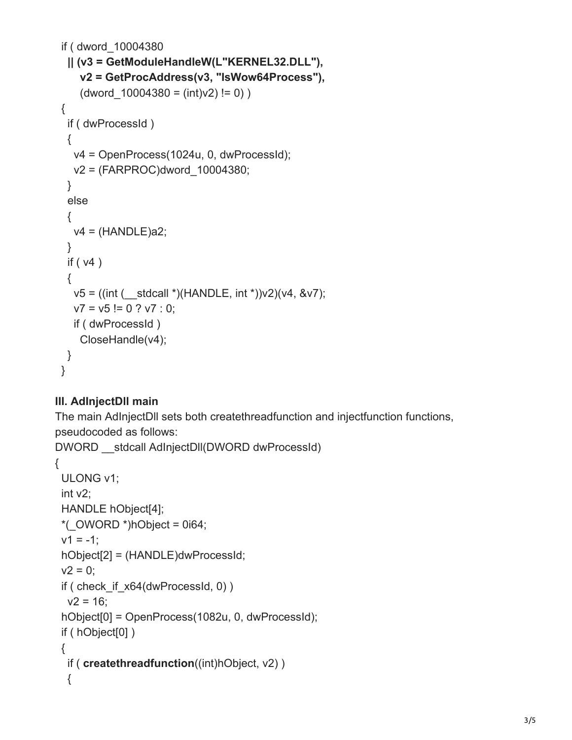```
 if ( dword_10004380
  || (v3 = GetModuleHandleW(L"KERNEL32.DLL"),
    v2 = GetProcAddress(v3, "IsWow64Process"),
   (dword 10004380 = (int)v2) != 0) {
  if ( dwProcessId )
  {
   v4 = OpenProcess(1024u, 0, dwProcessId);
   v2 = (FARPROC)dword_10004380;
  }
  else
  {
  v4 = (HANDLE)a2; }
  if ( v4 )
  {
  v5 = ((int (extd{call *})(HANDLE, int *))v2)(v4, 8v7);v7 = v5 = 0 ? v7 : 0;
   if ( dwProcessId )
    CloseHandle(v4);
 }
 }
```
## **III. AdInjectDll main**

The main AdInjectDll sets both createthreadfunction and injectfunction functions, pseudocoded as follows:

```
DWORD stdcall AdInjectDll(DWORD dwProcessId)
{
  ULONG v1;
  int v2;
  HANDLE hObject[4];
  *(_OWORD *)hObject = 0i64;
 v1 = -1;
  hObject[2] = (HANDLE)dwProcessId;
 v2 = 0;
 if ( check if x64(dwProcessId, 0) )
 v2 = 16;
  hObject[0] = OpenProcess(1082u, 0, dwProcessId);
  if ( hObject[0] )
  {
   if ( createthreadfunction((int)hObject, v2) )
   {
```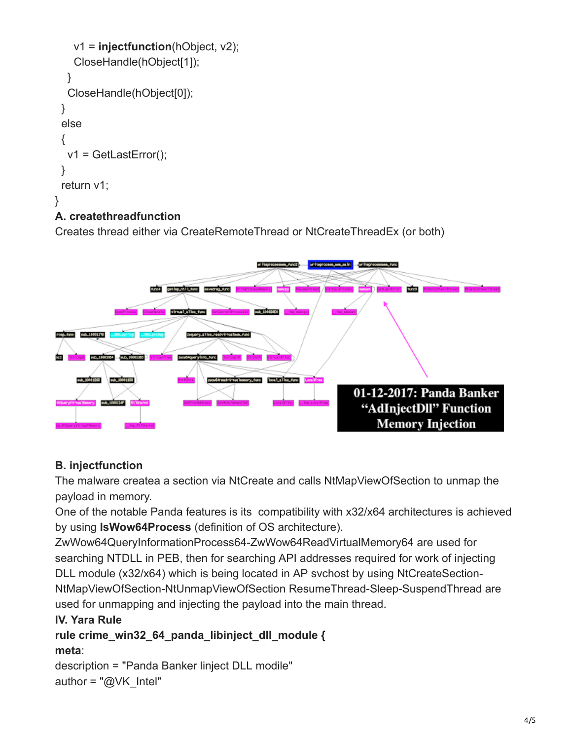```
 v1 = injectfunction(hObject, v2);
     CloseHandle(hObject[1]);
   }
   CloseHandle(hObject[0]);
  }
  else
  {
   v1 = GetLastError();
  }
  return v1;
}
```
# **A. createthreadfunction**

Creates thread either via CreateRemoteThread or NtCreateThreadEx (or both)



# **B. injectfunction**

The malware createa a section via NtCreate and calls NtMapViewOfSection to unmap the payload in memory.

One of the notable Panda features is its compatibility with x32/x64 architectures is achieved by using **IsWow64Process** (definition of OS architecture).

ZwWow64QueryInformationProcess64-ZwWow64ReadVirtualMemory64 are used for searching NTDLL in PEB, then for searching API addresses required for work of injecting DLL module (x32/x64) which is being located in AP svchost by using NtCreateSection-NtMapViewOfSection-NtUnmapViewOfSection ResumeThread-Sleep-SuspendThread are used for unmapping and injecting the payload into the main thread.

## **IV. Yara Rule**

**rule crime\_win32\_64\_panda\_libinject\_dll\_module { meta**:

```
description = "Panda Banker linject DLL modile"
author = "@VK_Intel"
```